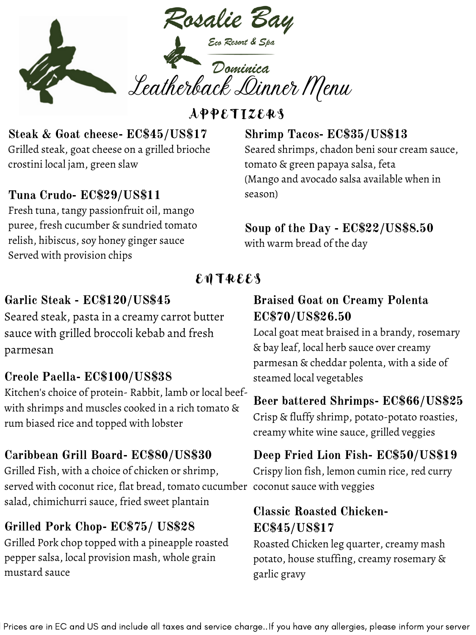

**APPETIZERS** 

#### Steak & Goat cheese- EC\$45/US\$17 Grilled steak, goat cheese on a grilled brioche crostini local jam, green slaw

#### Tuna Crudo- EC\$29/US\$11

Fresh tuna, tangy passionfruit oil, mango puree, fresh cucumber & sundried tomato relish, hibiscus, soy honey ginger sauce Served with provision chips

#### Shrimp Tacos- EC\$35/US\$13 Seared shrimps, chadon beni sour cream sauce, tomato & green papaya salsa, feta (Mango and avocado salsa available when in season)

#### Soup of the Day - EC\$22/US\$8.50 with warm bread of the day

## ENTREES

# Garlic Steak - EC\$120/US\$45

Seared steak, pasta in a creamy carrot butter sauce with grilled broccoli kebab and fresh parmesan

#### Creole Paella- EC\$100/US\$38

Kitchen's choice of protein- Rabbit, lamb or local beefwith shrimps and muscles cooked in a rich tomato & rum biased rice and topped with lobster

### Caribbean Grill Board- EC\$80/US\$30

Grilled Fish, with a choice of chicken or shrimp, served with coconut rice, flat bread, tomato cucumber coconut sauce with veggies salad, chimichurri sauce, fried sweet plantain

### Grilled Pork Chop- EC\$75/ US\$28

Grilled Pork chop topped with a pineapple roasted pepper salsa, local provision mash, whole grain mustard sauce

#### Braised Goat on Creamy Polenta EC\$70/US\$26.50

Local goat meat braised in a brandy, rosemary & bay leaf, local herb sauce over creamy parmesan & cheddar polenta, with a side of steamed local vegetables

### Beer battered Shrimps- EC\$66/US\$25

Crisp & fluffy shrimp, potato-potato roasties, creamy white wine sauce, grilled veggies

# Deep Fried Lion Fish- EC\$50/US\$19

Crispy lion fish, lemon cumin rice, red curry

## Classic Roasted Chicken-EC\$45/US\$17

Roasted Chicken leg quarter, creamy mash potato, house stuffing, creamy rosemary & garlic gravy